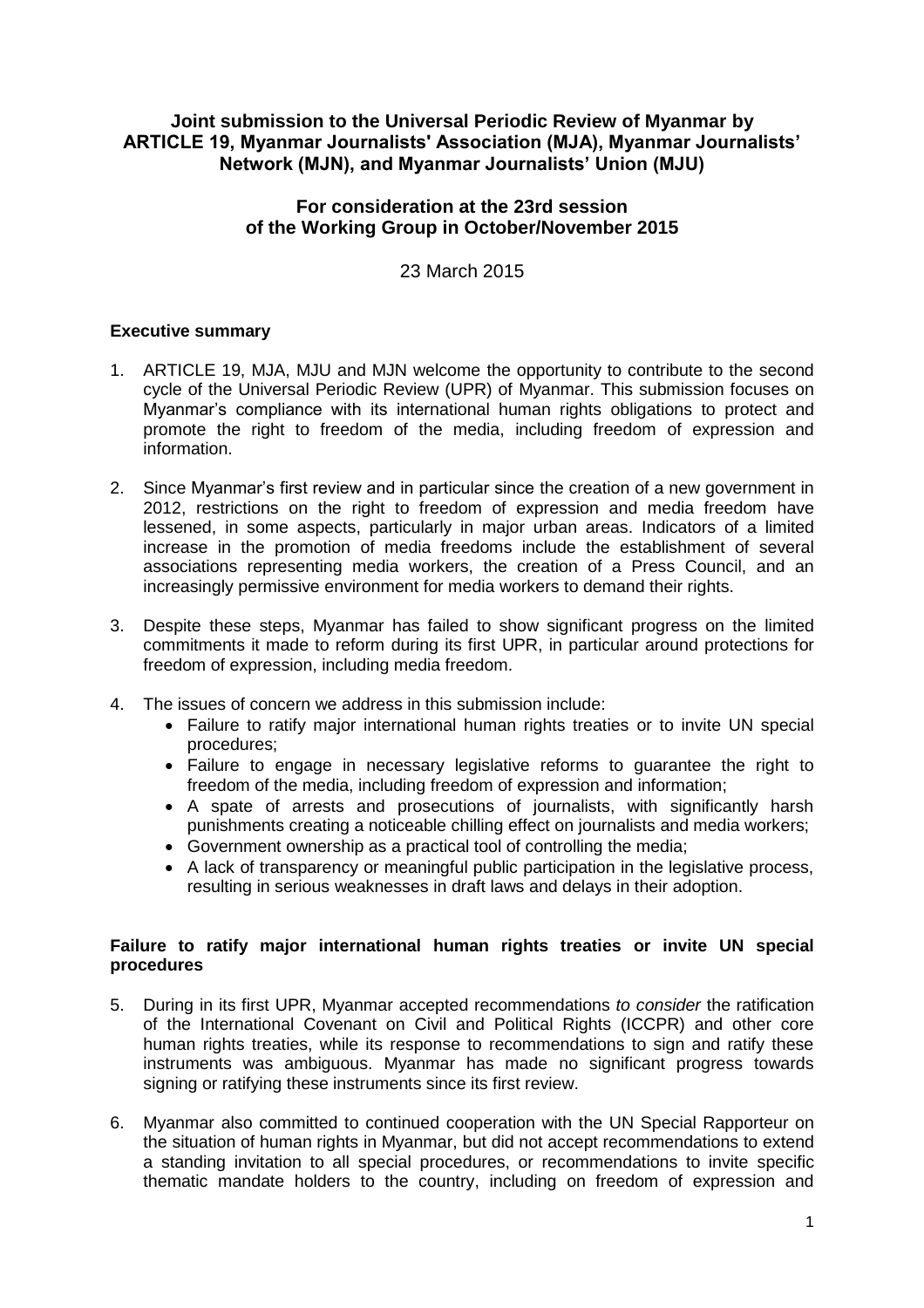# **Joint submission to the Universal Periodic Review of Myanmar by ARTICLE 19, Myanmar Journalists' Association (MJA), Myanmar Journalists' Network (MJN), and Myanmar Journalists' Union (MJU)**

# **For consideration at the 23rd session of the Working Group in October/November 2015**

# 23 March 2015

# **Executive summary**

- 1. ARTICLE 19, MJA, MJU and MJN welcome the opportunity to contribute to the second cycle of the Universal Periodic Review (UPR) of Myanmar. This submission focuses on Myanmar's compliance with its international human rights obligations to protect and promote the right to freedom of the media, including freedom of expression and information.
- 2. Since Myanmar's first review and in particular since the creation of a new government in 2012, restrictions on the right to freedom of expression and media freedom have lessened, in some aspects, particularly in major urban areas. Indicators of a limited increase in the promotion of media freedoms include the establishment of several associations representing media workers, the creation of a Press Council, and an increasingly permissive environment for media workers to demand their rights.
- 3. Despite these steps, Myanmar has failed to show significant progress on the limited commitments it made to reform during its first UPR, in particular around protections for freedom of expression, including media freedom.
- 4. The issues of concern we address in this submission include:
	- Failure to ratify major international human rights treaties or to invite UN special procedures;
	- Failure to engage in necessary legislative reforms to guarantee the right to freedom of the media, including freedom of expression and information;
	- A spate of arrests and prosecutions of journalists, with significantly harsh punishments creating a noticeable chilling effect on journalists and media workers;
	- Government ownership as a practical tool of controlling the media;
	- A lack of transparency or meaningful public participation in the legislative process, resulting in serious weaknesses in draft laws and delays in their adoption.

## **Failure to ratify major international human rights treaties or invite UN special procedures**

- 5. During in its first UPR, Myanmar accepted recommendations *to consider* the ratification of the International Covenant on Civil and Political Rights (ICCPR) and other core human rights treaties, while its response to recommendations to sign and ratify these instruments was ambiguous. Myanmar has made no significant progress towards signing or ratifying these instruments since its first review.
- 6. Myanmar also committed to continued cooperation with the UN Special Rapporteur on the situation of human rights in Myanmar, but did not accept recommendations to extend a standing invitation to all special procedures, or recommendations to invite specific thematic mandate holders to the country, including on freedom of expression and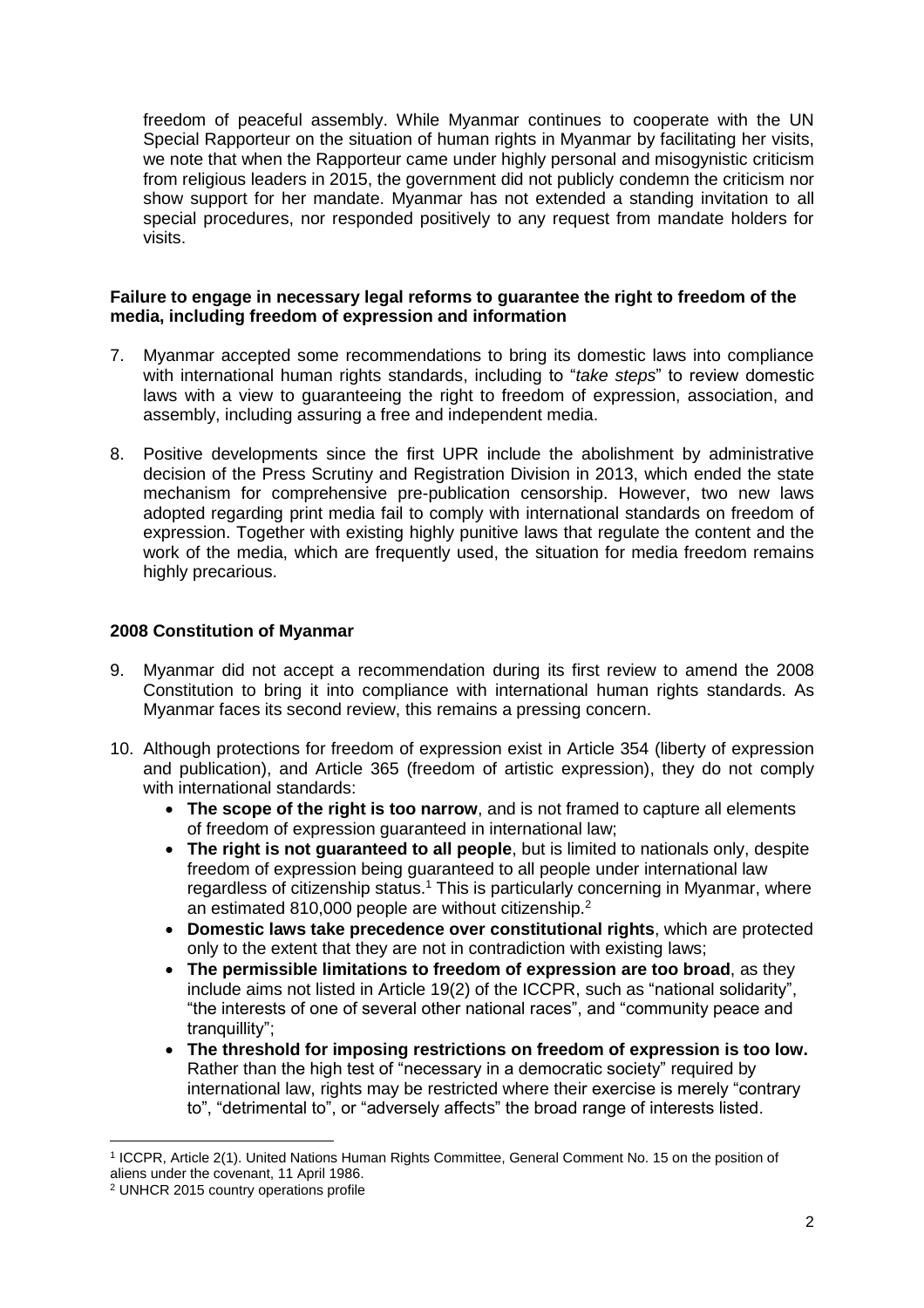freedom of peaceful assembly. While Myanmar continues to cooperate with the UN Special Rapporteur on the situation of human rights in Myanmar by facilitating her visits, we note that when the Rapporteur came under highly personal and misogynistic criticism from religious leaders in 2015, the government did not publicly condemn the criticism nor show support for her mandate. Myanmar has not extended a standing invitation to all special procedures, nor responded positively to any request from mandate holders for visits.

#### **Failure to engage in necessary legal reforms to guarantee the right to freedom of the media, including freedom of expression and information**

- 7. Myanmar accepted some recommendations to bring its domestic laws into compliance with international human rights standards, including to "*take steps*" to review domestic laws with a view to guaranteeing the right to freedom of expression, association, and assembly, including assuring a free and independent media.
- 8. Positive developments since the first UPR include the abolishment by administrative decision of the Press Scrutiny and Registration Division in 2013, which ended the state mechanism for comprehensive pre-publication censorship. However, two new laws adopted regarding print media fail to comply with international standards on freedom of expression. Together with existing highly punitive laws that regulate the content and the work of the media, which are frequently used, the situation for media freedom remains highly precarious.

## **2008 Constitution of Myanmar**

- 9. Myanmar did not accept a recommendation during its first review to amend the 2008 Constitution to bring it into compliance with international human rights standards. As Myanmar faces its second review, this remains a pressing concern.
- 10. Although protections for freedom of expression exist in Article 354 (liberty of expression and publication), and Article 365 (freedom of artistic expression), they do not comply with international standards:
	- **The scope of the right is too narrow**, and is not framed to capture all elements of freedom of expression guaranteed in international law;
	- **The right is not guaranteed to all people**, but is limited to nationals only, despite freedom of expression being guaranteed to all people under international law regardless of citizenship status.<sup>1</sup> This is particularly concerning in Myanmar, where an estimated 810,000 people are without citizenship.<sup>2</sup>
	- **Domestic laws take precedence over constitutional rights**, which are protected only to the extent that they are not in contradiction with existing laws;
	- **The permissible limitations to freedom of expression are too broad**, as they include aims not listed in Article 19(2) of the ICCPR, such as "national solidarity", "the interests of one of several other national races", and "community peace and tranquillity";
	- **The threshold for imposing restrictions on freedom of expression is too low.** Rather than the high test of "necessary in a democratic society" required by international law, rights may be restricted where their exercise is merely "contrary to", "detrimental to", or "adversely affects" the broad range of interests listed.

 $\overline{a}$ 1 ICCPR, Article 2(1). United Nations Human Rights Committee, General Comment No. 15 on the position of aliens under the covenant, 11 April 1986.

<sup>2</sup> UNHCR 2015 country operations profile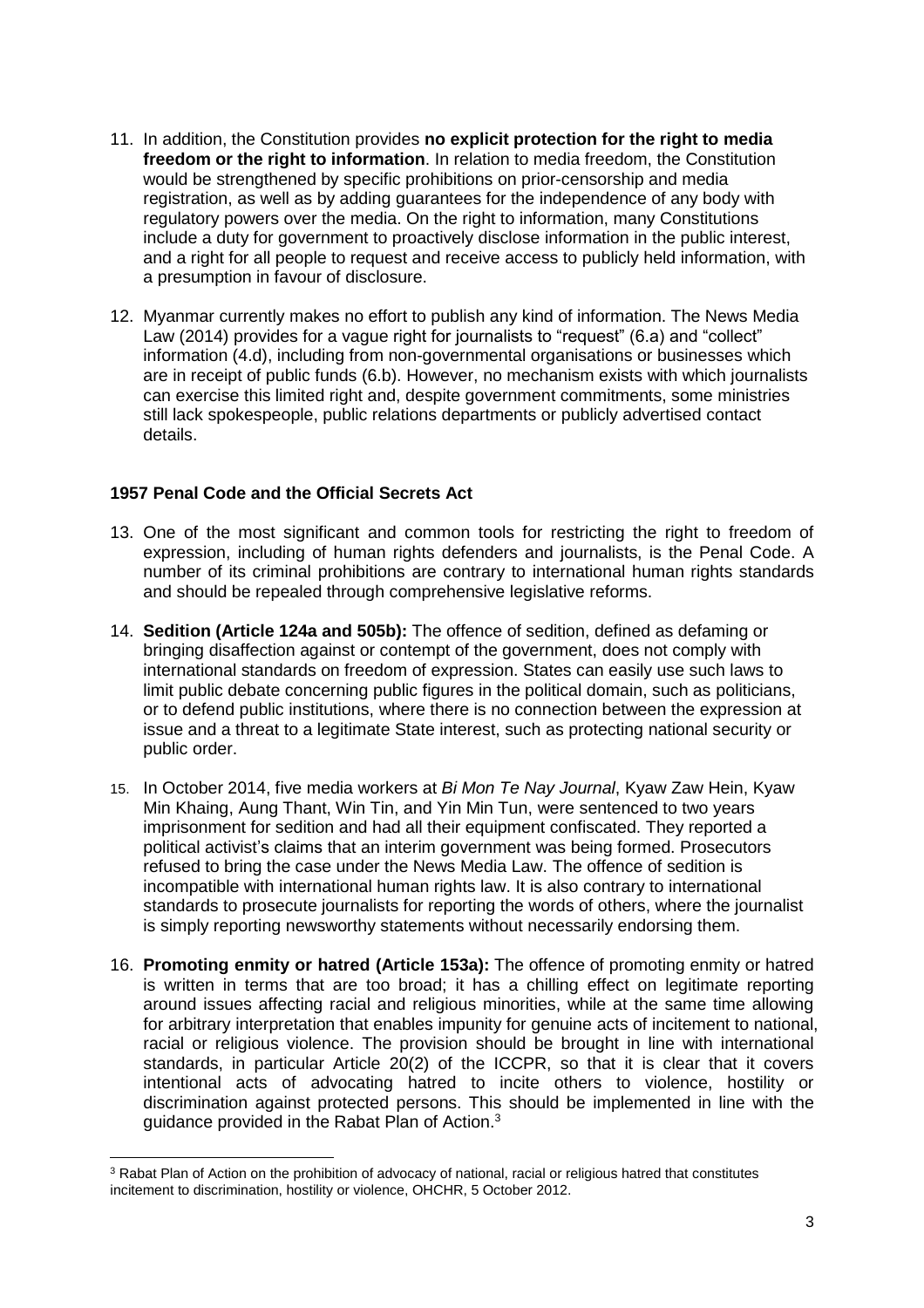- 11. In addition, the Constitution provides **no explicit protection for the right to media freedom or the right to information**. In relation to media freedom, the Constitution would be strengthened by specific prohibitions on prior-censorship and media registration, as well as by adding guarantees for the independence of any body with regulatory powers over the media. On the right to information, many Constitutions include a duty for government to proactively disclose information in the public interest, and a right for all people to request and receive access to publicly held information, with a presumption in favour of disclosure.
- 12. Myanmar currently makes no effort to publish any kind of information. The News Media Law (2014) provides for a vague right for journalists to "request" (6.a) and "collect" information (4.d), including from non-governmental organisations or businesses which are in receipt of public funds (6.b). However, no mechanism exists with which journalists can exercise this limited right and, despite government commitments, some ministries still lack spokespeople, public relations departments or publicly advertised contact details.

## **1957 Penal Code and the Official Secrets Act**

 $\overline{a}$ 

- 13. One of the most significant and common tools for restricting the right to freedom of expression, including of human rights defenders and journalists, is the Penal Code. A number of its criminal prohibitions are contrary to international human rights standards and should be repealed through comprehensive legislative reforms.
- 14. **Sedition (Article 124a and 505b):** The offence of sedition, defined as defaming or bringing disaffection against or contempt of the government, does not comply with international standards on freedom of expression. States can easily use such laws to limit public debate concerning public figures in the political domain, such as politicians, or to defend public institutions, where there is no connection between the expression at issue and a threat to a legitimate State interest, such as protecting national security or public order.
- 15. In October 2014, five media workers at *Bi Mon Te Nay Journal*, Kyaw Zaw Hein, Kyaw Min Khaing, Aung Thant, Win Tin, and Yin Min Tun, were sentenced to two years imprisonment for sedition and had all their equipment confiscated. They reported a political activist's claims that an interim government was being formed. Prosecutors refused to bring the case under the News Media Law. The offence of sedition is incompatible with international human rights law. It is also contrary to international standards to prosecute journalists for reporting the words of others, where the journalist is simply reporting newsworthy statements without necessarily endorsing them.
- 16. **Promoting enmity or hatred (Article 153a):** The offence of promoting enmity or hatred is written in terms that are too broad; it has a chilling effect on legitimate reporting around issues affecting racial and religious minorities, while at the same time allowing for arbitrary interpretation that enables impunity for genuine acts of incitement to national, racial or religious violence. The provision should be brought in line with international standards, in particular Article 20(2) of the ICCPR, so that it is clear that it covers intentional acts of advocating hatred to incite others to violence, hostility or discrimination against protected persons. This should be implemented in line with the guidance provided in the Rabat Plan of Action.<sup>3</sup>

<sup>&</sup>lt;sup>3</sup> Rabat Plan of Action on the prohibition of advocacy of national, racial or religious hatred that constitutes incitement to discrimination, hostility or violence, OHCHR, 5 October 2012.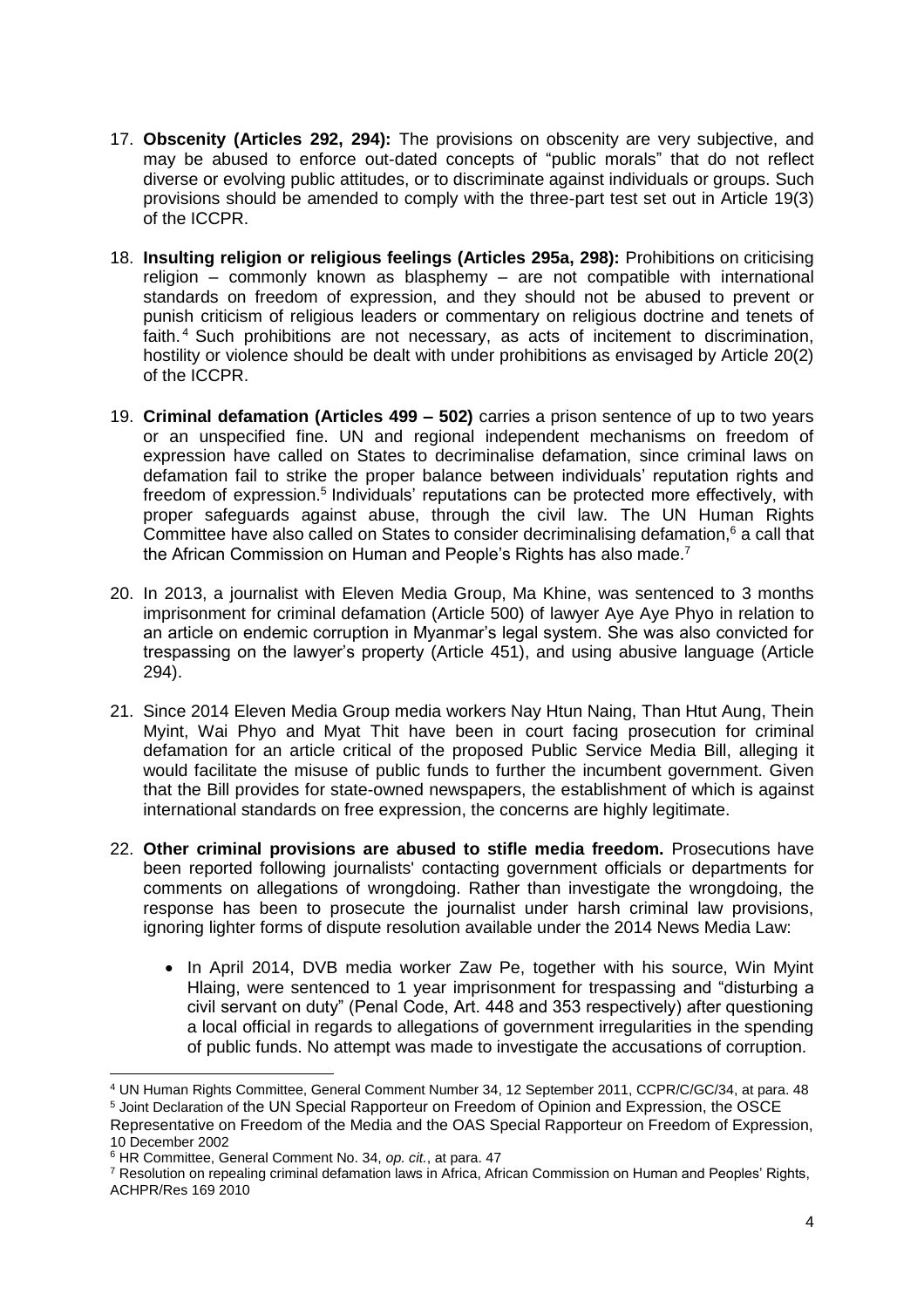- 17. **Obscenity (Articles 292, 294):** The provisions on obscenity are very subjective, and may be abused to enforce out-dated concepts of "public morals" that do not reflect diverse or evolving public attitudes, or to discriminate against individuals or groups. Such provisions should be amended to comply with the three-part test set out in Article 19(3) of the ICCPR.
- 18. **Insulting religion or religious feelings (Articles 295a, 298):** Prohibitions on criticising religion – commonly known as blasphemy – are not compatible with international standards on freedom of expression, and they should not be abused to prevent or punish criticism of religious leaders or commentary on religious doctrine and tenets of faith.<sup>4</sup> Such prohibitions are not necessary, as acts of incitement to discrimination, hostility or violence should be dealt with under prohibitions as envisaged by Article 20(2) of the ICCPR.
- 19. **Criminal defamation (Articles 499 – 502)** carries a prison sentence of up to two years or an unspecified fine. UN and regional independent mechanisms on freedom of expression have called on States to decriminalise defamation, since criminal laws on defamation fail to strike the proper balance between individuals' reputation rights and freedom of expression.<sup>5</sup> Individuals' reputations can be protected more effectively, with proper safeguards against abuse, through the civil law. The UN Human Rights Committee have also called on States to consider decriminalising defamation, $6$  a call that the African Commission on Human and People's Rights has also made.<sup>7</sup>
- 20. In 2013, a journalist with Eleven Media Group, Ma Khine, was sentenced to 3 months imprisonment for criminal defamation (Article 500) of lawyer Aye Aye Phyo in relation to an article on endemic corruption in Myanmar's legal system. She was also convicted for trespassing on the lawyer's property (Article 451), and using abusive language (Article 294).
- 21. Since 2014 Eleven Media Group media workers Nay Htun Naing, Than Htut Aung, Thein Myint, Wai Phyo and Myat Thit have been in court facing prosecution for criminal defamation for an article critical of the proposed Public Service Media Bill, alleging it would facilitate the misuse of public funds to further the incumbent government. Given that the Bill provides for state-owned newspapers, the establishment of which is against international standards on free expression, the concerns are highly legitimate.
- 22. **Other criminal provisions are abused to stifle media freedom.** Prosecutions have been reported following journalists' contacting government officials or departments for comments on allegations of wrongdoing. Rather than investigate the wrongdoing, the response has been to prosecute the journalist under harsh criminal law provisions, ignoring lighter forms of dispute resolution available under the 2014 News Media Law:
	- In April 2014, DVB media worker Zaw Pe, together with his source, Win Myint Hlaing, were sentenced to 1 year imprisonment for trespassing and "disturbing a civil servant on duty" (Penal Code, Art. 448 and 353 respectively) after questioning a local official in regards to allegations of government irregularities in the spending of public funds. No attempt was made to investigate the accusations of corruption.

 $\overline{a}$ 

<sup>4</sup> UN Human Rights Committee, General Comment Number 34, 12 September 2011, CCPR/C/GC/34, at para. 48 <sup>5</sup> Joint Declaration of the UN Special Rapporteur on Freedom of Opinion and Expression, the OSCE

Representative on Freedom of the Media and the OAS Special Rapporteur on Freedom of Expression, 10 December 2002

<sup>6</sup> HR Committee, General Comment No. 34, *op. cit.*, at para. 47

<sup>7</sup> Resolution on repealing criminal defamation laws in Africa, African Commission on Human and Peoples' Rights, ACHPR/Res 169 2010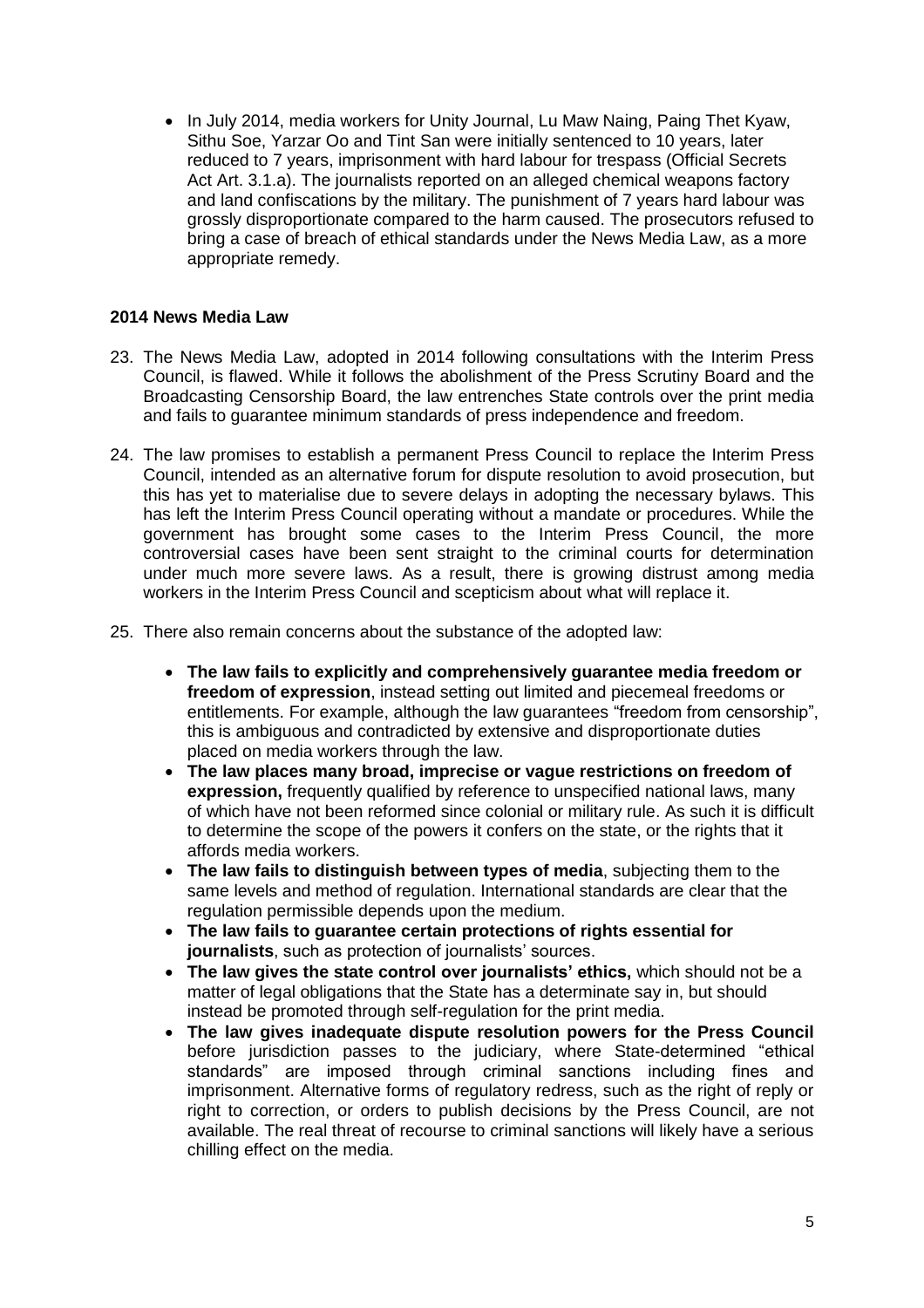• In July 2014, media workers for Unity Journal, Lu Maw Naing, Paing Thet Kyaw, Sithu Soe, Yarzar Oo and Tint San were initially sentenced to 10 years, later reduced to 7 years, imprisonment with hard labour for trespass (Official Secrets Act Art. 3.1.a). The journalists reported on an alleged chemical weapons factory and land confiscations by the military. The punishment of 7 years hard labour was grossly disproportionate compared to the harm caused. The prosecutors refused to bring a case of breach of ethical standards under the News Media Law, as a more appropriate remedy.

#### **2014 News Media Law**

- 23. The News Media Law, adopted in 2014 following consultations with the Interim Press Council, is flawed. While it follows the abolishment of the Press Scrutiny Board and the Broadcasting Censorship Board, the law entrenches State controls over the print media and fails to guarantee minimum standards of press independence and freedom.
- 24. The law promises to establish a permanent Press Council to replace the Interim Press Council, intended as an alternative forum for dispute resolution to avoid prosecution, but this has yet to materialise due to severe delays in adopting the necessary bylaws. This has left the Interim Press Council operating without a mandate or procedures. While the government has brought some cases to the Interim Press Council, the more controversial cases have been sent straight to the criminal courts for determination under much more severe laws. As a result, there is growing distrust among media workers in the Interim Press Council and scepticism about what will replace it.
- 25. There also remain concerns about the substance of the adopted law:
	- **The law fails to explicitly and comprehensively guarantee media freedom or freedom of expression**, instead setting out limited and piecemeal freedoms or entitlements. For example, although the law guarantees "freedom from censorship", this is ambiguous and contradicted by extensive and disproportionate duties placed on media workers through the law.
	- **The law places many broad, imprecise or vague restrictions on freedom of expression,** frequently qualified by reference to unspecified national laws, many of which have not been reformed since colonial or military rule. As such it is difficult to determine the scope of the powers it confers on the state, or the rights that it affords media workers.
	- **The law fails to distinguish between types of media**, subjecting them to the same levels and method of regulation. International standards are clear that the regulation permissible depends upon the medium.
	- **The law fails to guarantee certain protections of rights essential for journalists**, such as protection of journalists' sources.
	- **The law gives the state control over journalists' ethics,** which should not be a matter of legal obligations that the State has a determinate say in, but should instead be promoted through self-regulation for the print media.
	- **The law gives inadequate dispute resolution powers for the Press Council** before jurisdiction passes to the judiciary, where State-determined "ethical standards" are imposed through criminal sanctions including fines and imprisonment. Alternative forms of regulatory redress, such as the right of reply or right to correction, or orders to publish decisions by the Press Council, are not available. The real threat of recourse to criminal sanctions will likely have a serious chilling effect on the media.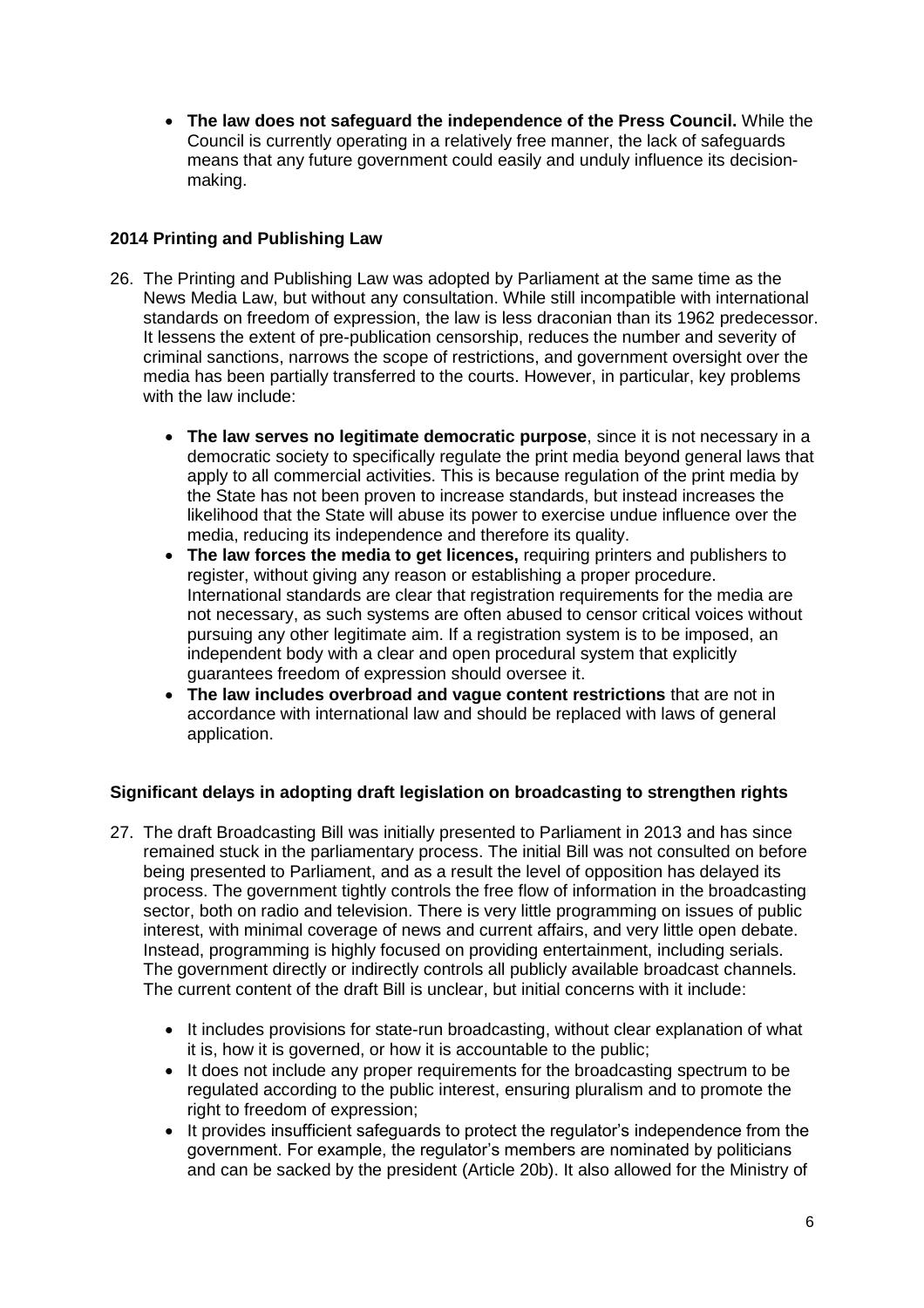**The law does not safeguard the independence of the Press Council.** While the Council is currently operating in a relatively free manner, the lack of safeguards means that any future government could easily and unduly influence its decisionmaking.

# **2014 Printing and Publishing Law**

- 26. The Printing and Publishing Law was adopted by Parliament at the same time as the News Media Law, but without any consultation. While still incompatible with international standards on freedom of expression, the law is less draconian than its 1962 predecessor. It lessens the extent of pre-publication censorship, reduces the number and severity of criminal sanctions, narrows the scope of restrictions, and government oversight over the media has been partially transferred to the courts. However, in particular, key problems with the law include:
	- **The law serves no legitimate democratic purpose**, since it is not necessary in a democratic society to specifically regulate the print media beyond general laws that apply to all commercial activities. This is because regulation of the print media by the State has not been proven to increase standards, but instead increases the likelihood that the State will abuse its power to exercise undue influence over the media, reducing its independence and therefore its quality.
	- **The law forces the media to get licences,** requiring printers and publishers to register, without giving any reason or establishing a proper procedure. International standards are clear that registration requirements for the media are not necessary, as such systems are often abused to censor critical voices without pursuing any other legitimate aim. If a registration system is to be imposed, an independent body with a clear and open procedural system that explicitly guarantees freedom of expression should oversee it.
	- **The law includes overbroad and vague content restrictions** that are not in accordance with international law and should be replaced with laws of general application.

# **Significant delays in adopting draft legislation on broadcasting to strengthen rights**

- 27. The draft Broadcasting Bill was initially presented to Parliament in 2013 and has since remained stuck in the parliamentary process. The initial Bill was not consulted on before being presented to Parliament, and as a result the level of opposition has delayed its process. The government tightly controls the free flow of information in the broadcasting sector, both on radio and television. There is very little programming on issues of public interest, with minimal coverage of news and current affairs, and very little open debate. Instead, programming is highly focused on providing entertainment, including serials. The government directly or indirectly controls all publicly available broadcast channels. The current content of the draft Bill is unclear, but initial concerns with it include:
	- It includes provisions for state-run broadcasting, without clear explanation of what it is, how it is governed, or how it is accountable to the public;
	- It does not include any proper requirements for the broadcasting spectrum to be regulated according to the public interest, ensuring pluralism and to promote the right to freedom of expression;
	- It provides insufficient safeguards to protect the regulator's independence from the government. For example, the regulator's members are nominated by politicians and can be sacked by the president (Article 20b). It also allowed for the Ministry of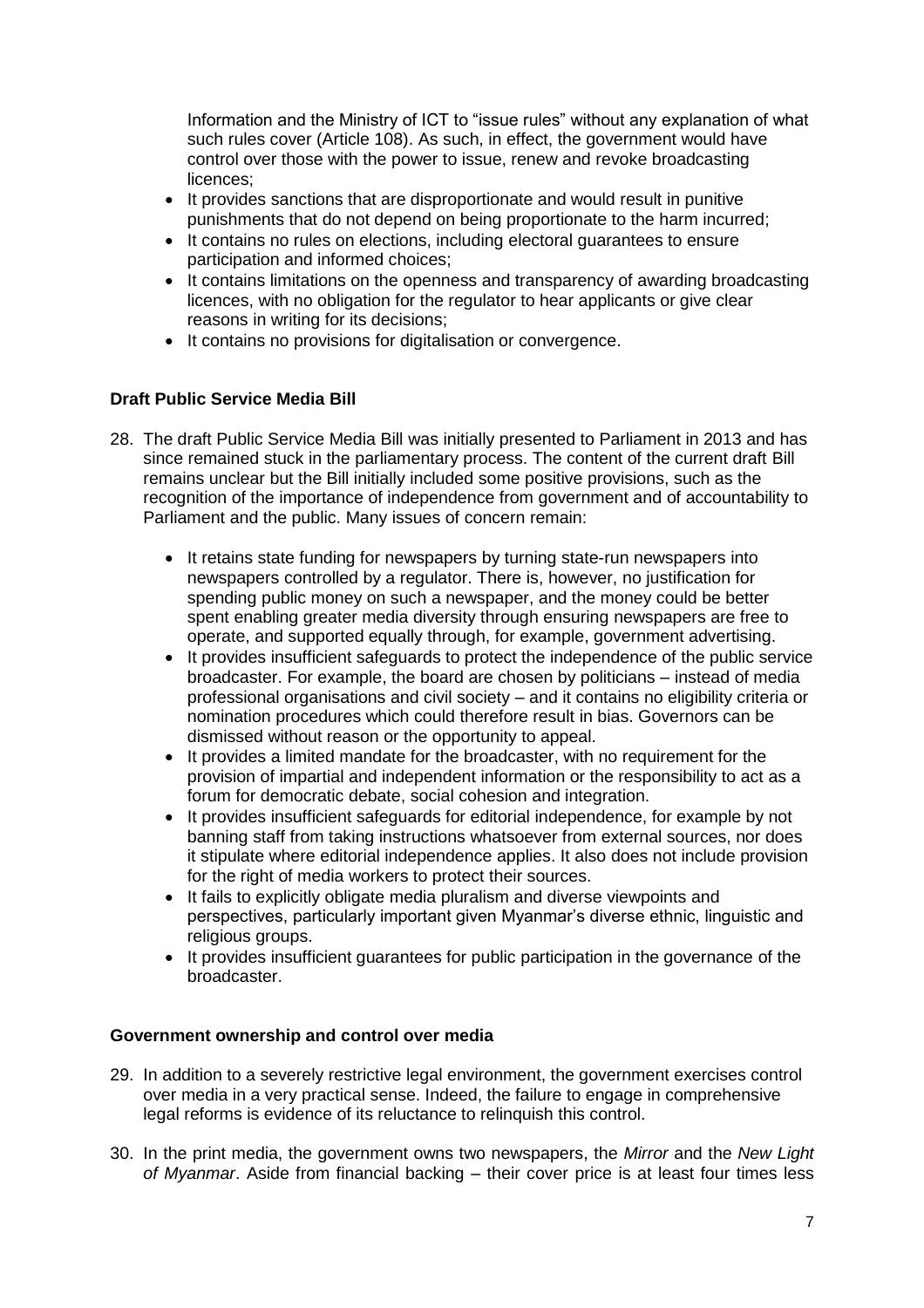Information and the Ministry of ICT to "issue rules" without any explanation of what such rules cover (Article 108). As such, in effect, the government would have control over those with the power to issue, renew and revoke broadcasting licences;

- It provides sanctions that are disproportionate and would result in punitive punishments that do not depend on being proportionate to the harm incurred;
- It contains no rules on elections, including electoral guarantees to ensure participation and informed choices;
- It contains limitations on the openness and transparency of awarding broadcasting licences, with no obligation for the regulator to hear applicants or give clear reasons in writing for its decisions;
- It contains no provisions for digitalisation or convergence.

# **Draft Public Service Media Bill**

- 28. The draft Public Service Media Bill was initially presented to Parliament in 2013 and has since remained stuck in the parliamentary process. The content of the current draft Bill remains unclear but the Bill initially included some positive provisions, such as the recognition of the importance of independence from government and of accountability to Parliament and the public. Many issues of concern remain:
	- It retains state funding for newspapers by turning state-run newspapers into newspapers controlled by a regulator. There is, however, no justification for spending public money on such a newspaper, and the money could be better spent enabling greater media diversity through ensuring newspapers are free to operate, and supported equally through, for example, government advertising.
	- It provides insufficient safeguards to protect the independence of the public service broadcaster. For example, the board are chosen by politicians – instead of media professional organisations and civil society – and it contains no eligibility criteria or nomination procedures which could therefore result in bias. Governors can be dismissed without reason or the opportunity to appeal.
	- It provides a limited mandate for the broadcaster, with no requirement for the provision of impartial and independent information or the responsibility to act as a forum for democratic debate, social cohesion and integration.
	- It provides insufficient safeguards for editorial independence, for example by not banning staff from taking instructions whatsoever from external sources, nor does it stipulate where editorial independence applies. It also does not include provision for the right of media workers to protect their sources.
	- It fails to explicitly obligate media pluralism and diverse viewpoints and perspectives, particularly important given Myanmar's diverse ethnic, linguistic and religious groups.
	- It provides insufficient guarantees for public participation in the governance of the broadcaster.

## **Government ownership and control over media**

- 29. In addition to a severely restrictive legal environment, the government exercises control over media in a very practical sense. Indeed, the failure to engage in comprehensive legal reforms is evidence of its reluctance to relinquish this control.
- 30. In the print media, the government owns two newspapers, the *Mirror* and the *New Light of Myanmar*. Aside from financial backing – their cover price is at least four times less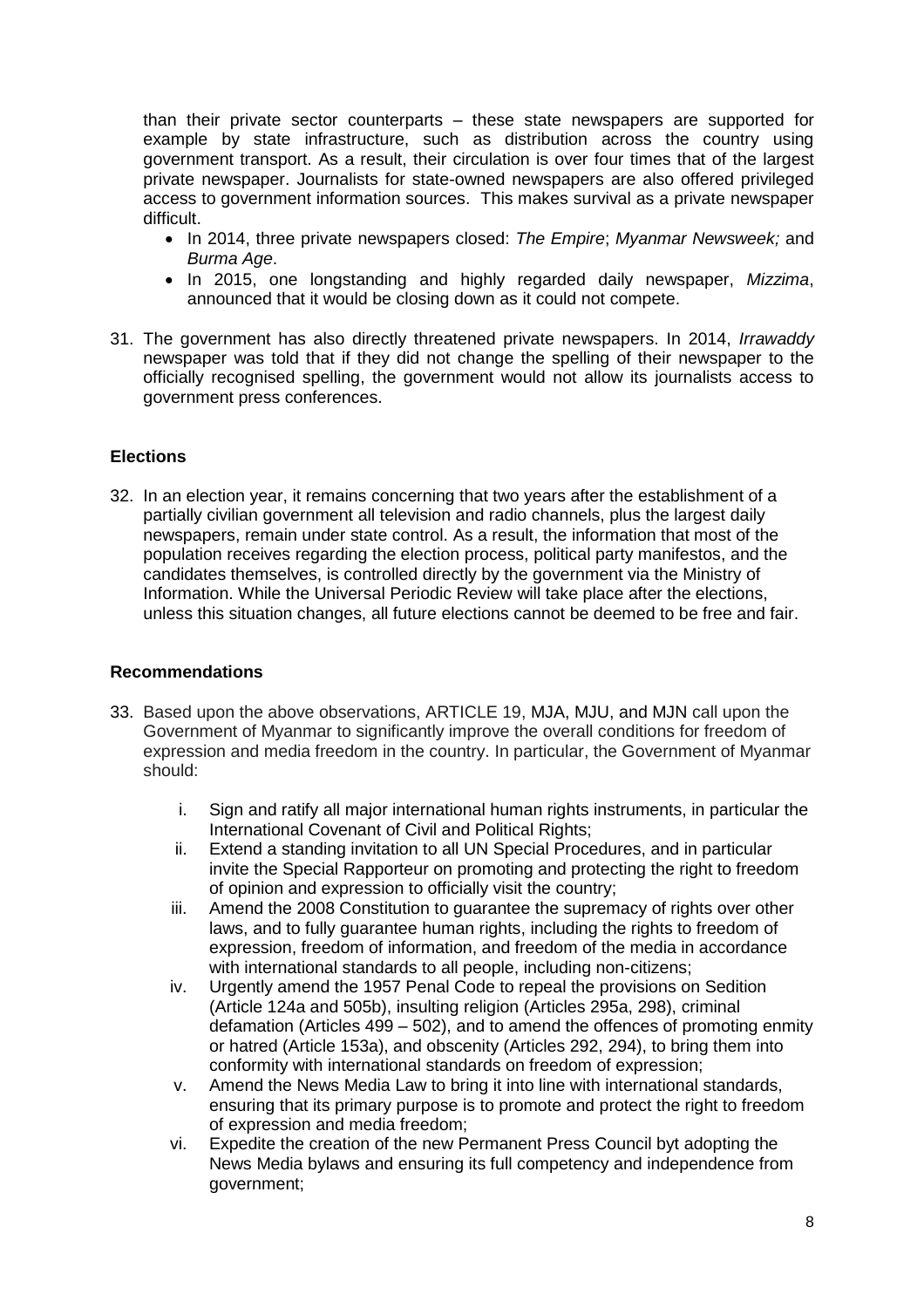than their private sector counterparts – these state newspapers are supported for example by state infrastructure, such as distribution across the country using government transport. As a result, their circulation is over four times that of the largest private newspaper. Journalists for state-owned newspapers are also offered privileged access to government information sources. This makes survival as a private newspaper difficult.

- In 2014, three private newspapers closed: *The Empire*; *Myanmar Newsweek;* and *Burma Age*.
- In 2015, one longstanding and highly regarded daily newspaper, *Mizzima*, announced that it would be closing down as it could not compete.
- 31. The government has also directly threatened private newspapers. In 2014, *Irrawaddy*  newspaper was told that if they did not change the spelling of their newspaper to the officially recognised spelling, the government would not allow its journalists access to government press conferences.

## **Elections**

32. In an election year, it remains concerning that two years after the establishment of a partially civilian government all television and radio channels, plus the largest daily newspapers, remain under state control. As a result, the information that most of the population receives regarding the election process, political party manifestos, and the candidates themselves, is controlled directly by the government via the Ministry of Information. While the Universal Periodic Review will take place after the elections, unless this situation changes, all future elections cannot be deemed to be free and fair.

## **Recommendations**

- 33. Based upon the above observations, ARTICLE 19, MJA, MJU, and MJN call upon the Government of Myanmar to significantly improve the overall conditions for freedom of expression and media freedom in the country. In particular, the Government of Myanmar should:
	- i. Sign and ratify all major international human rights instruments, in particular the International Covenant of Civil and Political Rights;
	- ii. Extend a standing invitation to all UN Special Procedures, and in particular invite the Special Rapporteur on promoting and protecting the right to freedom of opinion and expression to officially visit the country;
	- iii. Amend the 2008 Constitution to guarantee the supremacy of rights over other laws, and to fully guarantee human rights, including the rights to freedom of expression, freedom of information, and freedom of the media in accordance with international standards to all people, including non-citizens;
	- iv. Urgently amend the 1957 Penal Code to repeal the provisions on Sedition (Article 124a and 505b), insulting religion (Articles 295a, 298), criminal defamation (Articles 499 – 502), and to amend the offences of promoting enmity or hatred (Article 153a), and obscenity (Articles 292, 294), to bring them into conformity with international standards on freedom of expression;
	- v. Amend the News Media Law to bring it into line with international standards, ensuring that its primary purpose is to promote and protect the right to freedom of expression and media freedom;
	- vi. Expedite the creation of the new Permanent Press Council byt adopting the News Media bylaws and ensuring its full competency and independence from government;